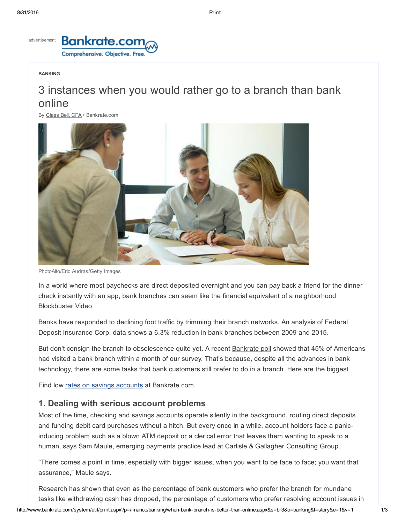

#### BANKING

# 3 instances when you would rather go to a branch than bank online

By [Claes](http://www.bankrate.com/author/claes-bell) Bell, CFA • Bankrate.com



PhotoAlto/Eric Audras/Getty Images

In a world where most paychecks are direct deposited overnight and you can pay back a friend for the dinner check instantly with an app, bank branches can seem like the financial equivalent of a neighborhood Blockbuster Video.

Banks have responded to declining foot traffic by trimming their branch networks. An analysis of Federal Deposit Insurance Corp. data shows a 6.3% reduction in bank branches between 2009 and 2015.

But don't consign the branch to obsolescence quite yet. A recent [Bankrate](http://www.bankrate.com/finance/consumer-index/branch-banking-still-strong-among-americans.aspx) poll showed that 45% of Americans had visited a bank branch within a month of our survey. That's because, despite all the advances in bank technology, there are some tasks that bank customers still prefer to do in a branch. Here are the biggest.

Find low rates on savings [accounts](http://www.bankrate.com/funnel/savings/) at Bankrate.com.

## 1. Dealing with serious account problems

Most of the time, checking and savings accounts operate silently in the background, routing direct deposits and funding debit card purchases without a hitch. But every once in a while, account holders face a panicinducing problem such as a blown ATM deposit or a clerical error that leaves them wanting to speak to a human, says Sam Maule, emerging payments practice lead at Carlisle & Gallagher Consulting Group.

"There comes a point in time, especially with bigger issues, when you want to be face to face; you want that assurance," Maule says.

Research has shown that even as the percentage of bank customers who prefer the branch for mundane tasks like withdrawing cash has dropped, the percentage of customers who prefer resolving account issues in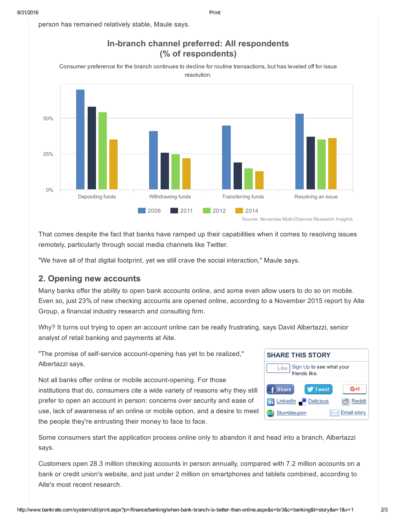person has remained relatively stable, Maule says.



That comes despite the fact that banks have ramped up their capabilities when it comes to resolving issues remotely, particularly through social media channels like Twitter.

"We have all of that digital footprint, yet we still crave the social interaction," Maule says.

## 2. Opening new accounts

Many banks offer the ability to open bank accounts online, and some even allow users to do so on mobile. Even so, just 23% of new checking accounts are opened online, according to a November 2015 report by Aite Group, a financial industry research and consulting firm.

Why? It turns out trying to open an account online can be really frustrating, says David Albertazzi, senior analyst of retail banking and payments at Aite.

"The promise of self-service account-opening has yet to be realized," Albertazzi says.

Not all banks offer online or mobile account-opening. For those institutions that do, consumers cite a wide variety of reasons why they still prefer to open an account in person: concerns over security and ease of use, lack of awareness of an online or mobile option, and a desire to meet the people they're entrusting their money to face to face.



Some consumers start the application process online only to abandon it and head into a branch, Albertazzi says.

Customers open 28.3 million checking accounts in person annually, compared with 7.2 million accounts on a bank or credit union's website, and just under 2 million on smartphones and tablets combined, according to Aite's most recent research.